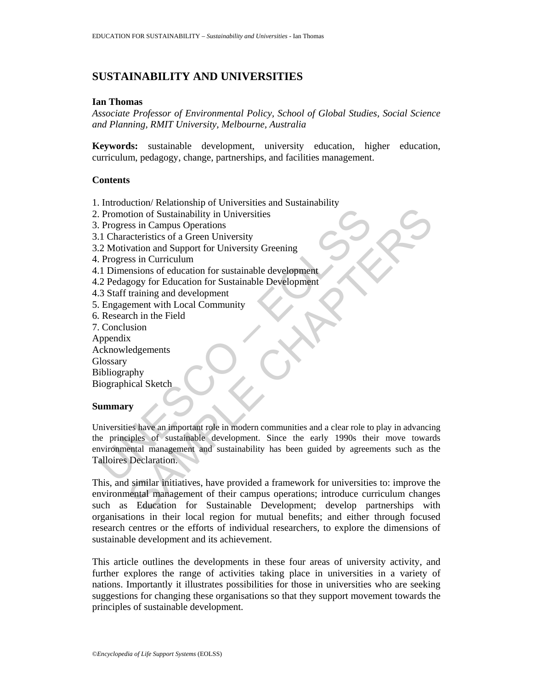# **SUSTAINABILITY AND UNIVERSITIES**

#### **Ian Thomas**

*Associate Professor of Environmental Policy, School of Global Studies, Social Science and Planning, RMIT University, Melbourne, Australia* 

**Keywords:** sustainable development, university education, higher education, curriculum, pedagogy, change, partnerships, and facilities management.

#### **Contents**

- 1. Introduction/ Relationship of Universities and Sustainability
- 2. Promotion of Sustainability in Universities
- 3. Progress in Campus Operations
- 3.1 Characteristics of a Green University
- 3.2 Motivation and Support for University Greening
- 4. Progress in Curriculum
- 4.1 Dimensions of education for sustainable development
- 4.2 Pedagogy for Education for Sustainable Development
- 4.3 Staff training and development
- 5. Engagement with Local Community
- 6. Research in the Field
- 7. Conclusion
- Appendix
- Acknowledgements
- **Glossary**
- Bibliography

Biographical Sketch

#### **Summary**

Promotion of Sustainability in Universities<br>
Progress in Campus Operations<br>
1. Characteristics of a Green University<br>
2. Motivation and Support for University Greening<br>
Progress in Curriculum<br>
1. Dimensions of education fo From the Summarian Control of Sustainability in Universities<br>
actionistics of a Green University<br>
Sample Valentin Control (Internet Chapter Schemer)<br>
Sample of Aducation for sustainable development<br>
realisms of education f Universities have an important role in modern communities and a clear role to play in advancing the principles of sustainable development. Since the early 1990s their move towards environmental management and sustainability has been guided by agreements such as the Talloires Declaration.

This, and similar initiatives, have provided a framework for universities to: improve the environmental management of their campus operations; introduce curriculum changes such as Education for Sustainable Development; develop partnerships with organisations in their local region for mutual benefits; and either through focused research centres or the efforts of individual researchers, to explore the dimensions of sustainable development and its achievement.

This article outlines the developments in these four areas of university activity, and further explores the range of activities taking place in universities in a variety of nations. Importantly it illustrates possibilities for those in universities who are seeking suggestions for changing these organisations so that they support movement towards the principles of sustainable development.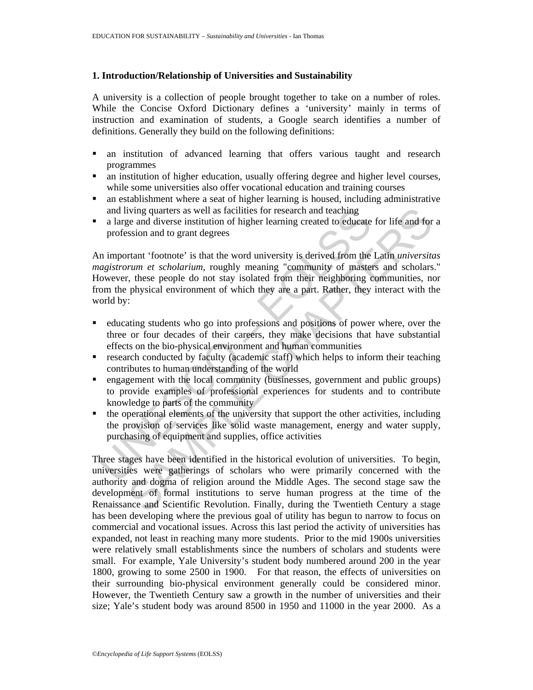#### **1. Introduction/Relationship of Universities and Sustainability**

A university is a collection of people brought together to take on a number of roles. While the Concise Oxford Dictionary defines a 'university' mainly in terms of instruction and examination of students, a Google search identifies a number of definitions. Generally they build on the following definitions:

- an institution of advanced learning that offers various taught and research programmes
- an institution of higher education, usually offering degree and higher level courses, while some universities also offer vocational education and training courses
- an establishment where a seat of higher learning is housed, including administrative and living quarters as well as facilities for research and teaching
- a large and diverse institution of higher learning created to educate for life and for a profession and to grant degrees

and living quarters as well as facilities for research and teaching<br>a large and diverse institution of higher learning created to educate<br>profession and to grant degrees<br>in important 'footnote' is that the word university An important 'footnote' is that the word university is derived from the Latin *universitas magistrorum et scholarium*, roughly meaning "community of masters and scholars." However, these people do not stay isolated from their neighboring communities, nor from the physical environment of which they are a part. Rather, they interact with the world by:

- educating students who go into professions and positions of power where, over the three or four decades of their careers, they make decisions that have substantial effects on the bio-physical environment and human communities
- research conducted by faculty (academic staff) which helps to inform their teaching contributes to human understanding of the world
- engagement with the local community (businesses, government and public groups) to provide examples of professional experiences for students and to contribute knowledge to parts of the community
- the operational elements of the university that support the other activities, including the provision of services like solid waste management, energy and water supply, purchasing of equipment and supplies, office activities

iving quarters as well as facilities for research and teaching<br>each diverse institution of higher learning created to educate for life and for<br>ession and to grant degrees<br>trant 'footnote' is that the word university is der Three stages have been identified in the historical evolution of universities. To begin, universities were gatherings of scholars who were primarily concerned with the authority and dogma of religion around the Middle Ages. The second stage saw the development of formal institutions to serve human progress at the time of the Renaissance and Scientific Revolution. Finally, during the Twentieth Century a stage has been developing where the previous goal of utility has begun to narrow to focus on commercial and vocational issues. Across this last period the activity of universities has expanded, not least in reaching many more students. Prior to the mid 1900s universities were relatively small establishments since the numbers of scholars and students were small. For example, Yale University's student body numbered around 200 in the year 1800, growing to some 2500 in 1900. For that reason, the effects of universities on their surrounding bio-physical environment generally could be considered minor. However, the Twentieth Century saw a growth in the number of universities and their size; Yale's student body was around 8500 in 1950 and 11000 in the year 2000. As a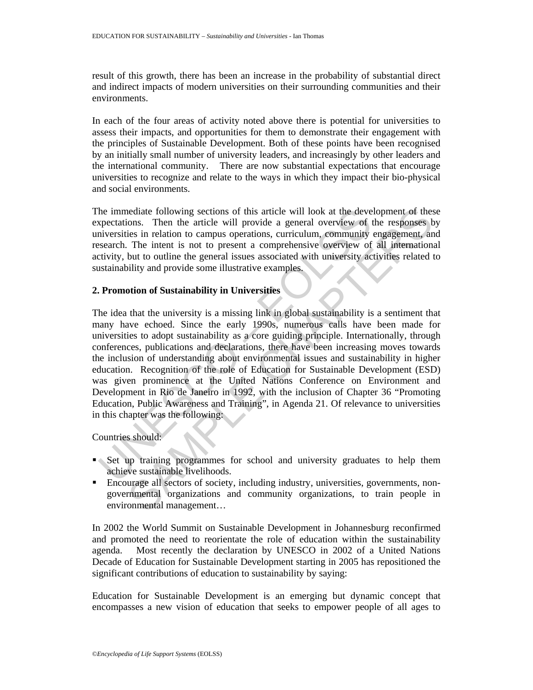result of this growth, there has been an increase in the probability of substantial direct and indirect impacts of modern universities on their surrounding communities and their environments.

In each of the four areas of activity noted above there is potential for universities to assess their impacts, and opportunities for them to demonstrate their engagement with the principles of Sustainable Development. Both of these points have been recognised by an initially small number of university leaders, and increasingly by other leaders and the international community. There are now substantial expectations that encourage universities to recognize and relate to the ways in which they impact their bio-physical and social environments.

The immediate following sections of this article will look at the development of these expectations. Then the article will provide a general overview of the responses by universities in relation to campus operations, curriculum, community engagement, and research. The intent is not to present a comprehensive overview of all international activity, but to outline the general issues associated with university activities related to sustainability and provide some illustrative examples.

## **2. Promotion of Sustainability in Universities**

the immediate following sections of this article will look at the devery<br>exectations. Then the article will provide a general overview of priversities in relation to campus operations, curriculum, community<br>inversities the nediate following sections of this article will look at the development of thes<br>ons. Then the article will provide a general overview of the responses<br>being in relation to campus operations, curriculum, community engagemen The idea that the university is a missing link in global sustainability is a sentiment that many have echoed. Since the early 1990s, numerous calls have been made for universities to adopt sustainability as a core guiding principle. Internationally, through conferences, publications and declarations, there have been increasing moves towards the inclusion of understanding about environmental issues and sustainability in higher education. Recognition of the role of Education for Sustainable Development (ESD) was given prominence at the United Nations Conference on Environment and Development in Rio de Janeiro in 1992, with the inclusion of Chapter 36 "Promoting Education, Public Awareness and Training", in Agenda 21. Of relevance to universities in this chapter was the following:

Countries should:

- Set up training programmes for school and university graduates to help them achieve sustainable livelihoods.
- Encourage all sectors of society, including industry, universities, governments, nongovernmental organizations and community organizations, to train people in environmental management…

In 2002 the World Summit on Sustainable Development in Johannesburg reconfirmed and promoted the need to reorientate the role of education within the sustainability agenda. Most recently the declaration by UNESCO in 2002 of a United Nations Decade of Education for Sustainable Development starting in 2005 has repositioned the significant contributions of education to sustainability by saying:

Education for Sustainable Development is an emerging but dynamic concept that encompasses a new vision of education that seeks to empower people of all ages to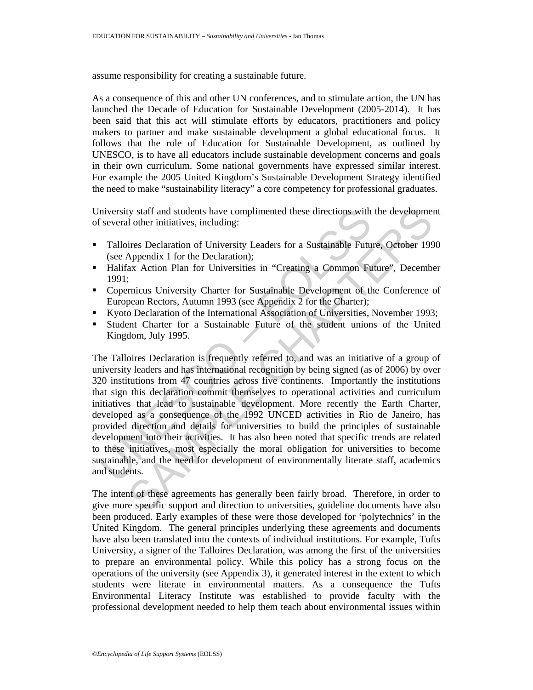assume responsibility for creating a sustainable future.

As a consequence of this and other UN conferences, and to stimulate action, the UN has launched the Decade of Education for Sustainable Development (2005-2014). It has been said that this act will stimulate efforts by educators, practitioners and policy makers to partner and make sustainable development a global educational focus. It follows that the role of Education for Sustainable Development, as outlined by UNESCO, is to have all educators include sustainable development concerns and goals in their own curriculum. Some national governments have expressed similar interest. For example the 2005 United Kingdom's Sustainable Development Strategy identified the need to make "sustainability literacy" a core competency for professional graduates.

University staff and students have complimented these directions with the development of several other initiatives, including:

- Talloires Declaration of University Leaders for a Sustainable Future, October 1990 (see Appendix 1 for the Declaration);
- Halifax Action Plan for Universities in "Creating a Common Future", December 1991;
- Copernicus University Charter for Sustainable Development of the Conference of European Rectors, Autumn 1993 (see Appendix 2 for the Charter);
- Kyoto Declaration of the International Association of Universities, November 1993;
- Student Charter for a Sustainable Future of the student unions of the United Kingdom, July 1995.

Inversity staff and students have complimented these directions with<br>f several other initiatives, including:<br>Talloires Declaration of University Leaders for a Sustainable Futu<br>(see Appendix 1 for the Declaration);<br>Halifax In students have complimented these directions with the development<br>of the distributions, including:<br>
ires Declaration of University Leaders for a Sustainable Future, October 199<br>
Appendix 1 for the Declaration):<br>
iax Acti The Talloires Declaration is frequently referred to, and was an initiative of a group of university leaders and has international recognition by being signed (as of 2006) by over 320 institutions from 47 countries across five continents. Importantly the institutions that sign this declaration commit themselves to operational activities and curriculum initiatives that lead to sustainable development. More recently the Earth Charter, developed as a consequence of the 1992 UNCED activities in Rio de Janeiro, has provided direction and details for universities to build the principles of sustainable development into their activities. It has also been noted that specific trends are related to these initiatives, most especially the moral obligation for universities to become sustainable, and the need for development of environmentally literate staff, academics and students.

The intent of these agreements has generally been fairly broad. Therefore, in order to give more specific support and direction to universities, guideline documents have also been produced. Early examples of these were those developed for 'polytechnics' in the United Kingdom. The general principles underlying these agreements and documents have also been translated into the contexts of individual institutions. For example, Tufts University, a signer of the Talloires Declaration, was among the first of the universities to prepare an environmental policy. While this policy has a strong focus on the operations of the university (see Appendix 3), it generated interest in the extent to which students were literate in environmental matters. As a consequence the Tufts Environmental Literacy Institute was established to provide faculty with the professional development needed to help them teach about environmental issues within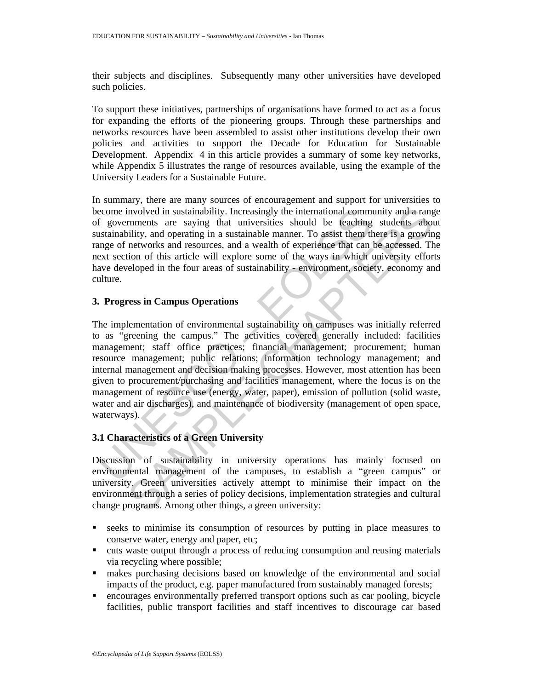their subjects and disciplines. Subsequently many other universities have developed such policies.

To support these initiatives, partnerships of organisations have formed to act as a focus for expanding the efforts of the pioneering groups. Through these partnerships and networks resources have been assembled to assist other institutions develop their own policies and activities to support the Decade for Education for Sustainable Development. Appendix 4 in this article provides a summary of some key networks, while Appendix 5 illustrates the range of resources available, using the example of the University Leaders for a Sustainable Future.

In summary, there are many sources of encouragement and support for universities to become involved in sustainability. Increasingly the international community and a range of governments are saying that universities should be teaching students about sustainability, and operating in a sustainable manner. To assist them there is a growing range of networks and resources, and a wealth of experience that can be accessed. The next section of this article will explore some of the ways in which university efforts have developed in the four areas of sustainability - environment, society, economy and culture.

### **3. Progress in Campus Operations**

ecome involved in sustainability. Increasingly the international comm<br>
f governments are saying that universities should be teaching<br>
sustainability, and operating in a sustainable manner. To assist them th<br>
mage of networ movived in sustainability. Increasingly the international community and a rangments are saying that universities should be teaching students aboutility, and operating in a sustainable manner. To assist them there is a grow The implementation of environmental sustainability on campuses was initially referred to as "greening the campus." The activities covered generally included: facilities management; staff office practices; financial management; procurement; human resource management; public relations; information technology management; and internal management and decision making processes. However, most attention has been given to procurement/purchasing and facilities management, where the focus is on the management of resource use (energy, water, paper), emission of pollution (solid waste, water and air discharges), and maintenance of biodiversity (management of open space, waterways).

## **3.1 Characteristics of a Green University**

Discussion of sustainability in university operations has mainly focused on environmental management of the campuses, to establish a "green campus" or university. Green universities actively attempt to minimise their impact on the environment through a series of policy decisions, implementation strategies and cultural change programs. Among other things, a green university:

- seeks to minimise its consumption of resources by putting in place measures to conserve water, energy and paper, etc;
- cuts waste output through a process of reducing consumption and reusing materials via recycling where possible;
- makes purchasing decisions based on knowledge of the environmental and social impacts of the product, e.g. paper manufactured from sustainably managed forests;
- encourages environmentally preferred transport options such as car pooling, bicycle facilities, public transport facilities and staff incentives to discourage car based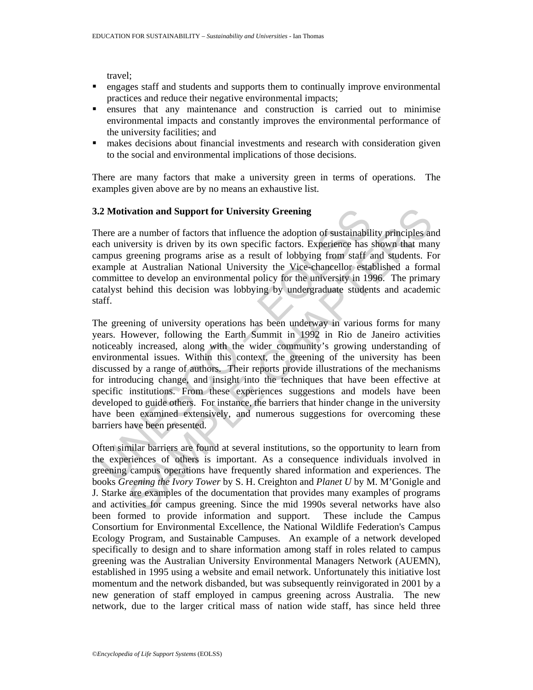travel;

- engages staff and students and supports them to continually improve environmental practices and reduce their negative environmental impacts;
- ensures that any maintenance and construction is carried out to minimise environmental impacts and constantly improves the environmental performance of the university facilities; and
- makes decisions about financial investments and research with consideration given to the social and environmental implications of those decisions.

There are many factors that make a university green in terms of operations. The examples given above are by no means an exhaustive list.

### **3.2 Motivation and Support for University Greening**

There are a number of factors that influence the adoption of sustainability principles and each university is driven by its own specific factors. Experience has shown that many campus greening programs arise as a result of lobbying from staff and students. For example at Australian National University the Vice-chancellor established a formal committee to develop an environmental policy for the university in 1996. The primary catalyst behind this decision was lobbying by undergraduate students and academic staff.

2 **Motivation and Support for University Greening**<br>
there are a number of factors that influence the adoption of sustainabil<br>
there are a number of factors that influence the adoption of sustainabil<br>
cach university is dr vation and Support for University Greening<br>
e a number of factors that influence the adoption of sustainability principles an<br>
versity is driven by its own specific factors. Experience has shown that many<br>
ergreening progr The greening of university operations has been underway in various forms for many years. However, following the Earth Summit in 1992 in Rio de Janeiro activities noticeably increased, along with the wider community's growing understanding of environmental issues. Within this context, the greening of the university has been discussed by a range of authors. Their reports provide illustrations of the mechanisms for introducing change, and insight into the techniques that have been effective at specific institutions. From these experiences suggestions and models have been developed to guide others. For instance, the barriers that hinder change in the university have been examined extensively, and numerous suggestions for overcoming these barriers have been presented.

Often similar barriers are found at several institutions, so the opportunity to learn from the experiences of others is important. As a consequence individuals involved in greening campus operations have frequently shared information and experiences. The books *Greening the Ivory Tower* by S. H. Creighton and *Planet U* by M. M'Gonigle and J. Starke are examples of the documentation that provides many examples of programs and activities for campus greening. Since the mid 1990s several networks have also been formed to provide information and support. These include the Campus Consortium for Environmental Excellence, the National Wildlife Federation's Campus Ecology Program, and Sustainable Campuses. An example of a network developed specifically to design and to share information among staff in roles related to campus greening was the Australian University Environmental Managers Network (AUEMN), established in 1995 using a website and email network. Unfortunately this initiative lost momentum and the network disbanded, but was subsequently reinvigorated in 2001 by a new generation of staff employed in campus greening across Australia. The new network, due to the larger critical mass of nation wide staff, has since held three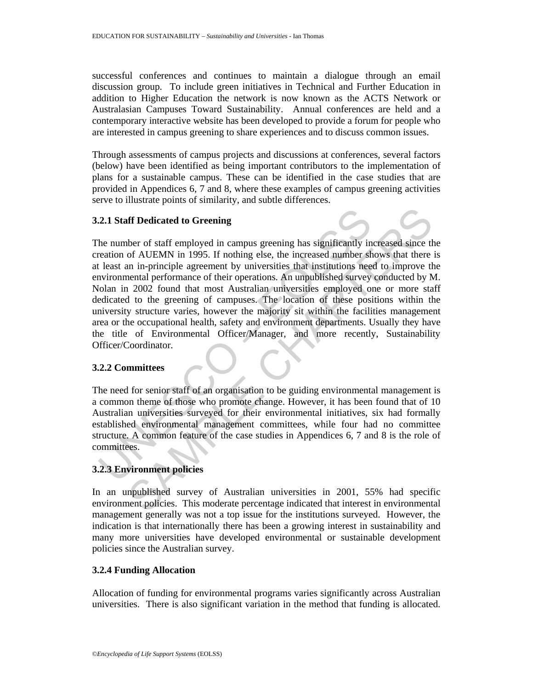successful conferences and continues to maintain a dialogue through an email discussion group. To include green initiatives in Technical and Further Education in addition to Higher Education the network is now known as the ACTS Network or Australasian Campuses Toward Sustainability. Annual conferences are held and a contemporary interactive website has been developed to provide a forum for people who are interested in campus greening to share experiences and to discuss common issues.

Through assessments of campus projects and discussions at conferences, several factors (below) have been identified as being important contributors to the implementation of plans for a sustainable campus. These can be identified in the case studies that are provided in Appendices 6, 7 and 8, where these examples of campus greening activities serve to illustrate points of similarity, and subtle differences.

### **3.2.1 Staff Dedicated to Greening**

2.1 Staff Dedicated to Greening<br>
he number of staff employed in campus greening has significantly in<br>
reation of AUEMN in 1995. If nothing else, the increased number sh<br>
least an in-principle agreement by universities tha **If Dedicated to Greening**<br>
there of staff employed in campus greening has significantly increased since the of AUEMN in 1995. If nothing else, the increased number shows that there in in-principle agreement by universitie The number of staff employed in campus greening has significantly increased since the creation of AUEMN in 1995. If nothing else, the increased number shows that there is at least an in-principle agreement by universities that institutions need to improve the environmental performance of their operations. An unpublished survey conducted by M. Nolan in 2002 found that most Australian universities employed one or more staff dedicated to the greening of campuses. The location of these positions within the university structure varies, however the majority sit within the facilities management area or the occupational health, safety and environment departments. Usually they have the title of Environmental Officer/Manager, and more recently, Sustainability Officer/Coordinator.

### **3.2.2 Committees**

The need for senior staff of an organisation to be guiding environmental management is a common theme of those who promote change. However, it has been found that of 10 Australian universities surveyed for their environmental initiatives, six had formally established environmental management committees, while four had no committee structure. A common feature of the case studies in Appendices 6, 7 and 8 is the role of committees.

## **3.2.3 Environment policies**

In an unpublished survey of Australian universities in 2001, 55% had specific environment policies. This moderate percentage indicated that interest in environmental management generally was not a top issue for the institutions surveyed. However, the indication is that internationally there has been a growing interest in sustainability and many more universities have developed environmental or sustainable development policies since the Australian survey.

### **3.2.4 Funding Allocation**

Allocation of funding for environmental programs varies significantly across Australian universities. There is also significant variation in the method that funding is allocated.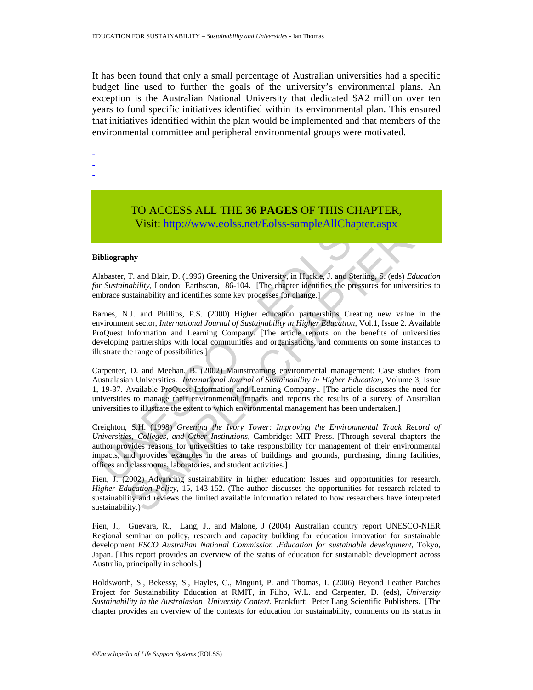It has been found that only a small percentage of Australian universities had a specific budget line used to further the goals of the university's environmental plans. An exception is the Australian National University that dedicated \$A2 million over ten years to fund specific initiatives identified within its environmental plan. This ensured that initiatives identified within the plan would be implemented and that members of the environmental committee and peripheral environmental groups were motivated.

-

- -

# TO ACCESS ALL THE **36 PAGES** OF THIS CHAPTER, Visit: http://www.eolss.net/Eolss-sampleAllChapter.aspx

#### **Bibliography**

Alabaster, T. and Blair, D. (1996) Greening the University, in Huckle, J. and Sterling, S. (eds) *Education for Sustainability*, London: Earthscan, 86-104**.** [The chapter identifies the pressures for universities to embrace sustainability and identifies some key processes for change.]

TO ACCESS ALL THE 36 PAGES OF THIS CHA<br>Visit: http://www.colss.net/Eolss-sampleAllChapter<br>bibiography<br>tlabaster, T. and Blair, D. (1996) Greening the University, in Huckle, J. and Sterling<br>r Sustainability, London: Earthsc TO ACCESS ALL THE 36 PAGES OF THIS CHAPTER,<br>Visit: http://www.eolss.net/Folss-sampleAllChapter.aspx<br>Mr. and Blair, D. (1996) Greening the University, in Huckle, J. and Sterling, S. (eds) *Education*<br>intuiting, Lodon: Earth Barnes, N.J. and Phillips, P.S. (2000) Higher education partnerships Creating new value in the environment sector, *International Journal of Sustainability in Higher Education*, Vol.1, Issue 2. Available ProQuest Information and Learning Company. [The article reports on the benefits of universities developing partnerships with local communities and organisations, and comments on some instances to illustrate the range of possibilities.]

Carpenter, D. and Meehan, B. (2002) Mainstreaming environmental management: Case studies from Australasian Universities. *International Journal of Sustainability in Higher Education*, Volume 3, Issue 1, 19-37. Available ProQuest Information and Learning Company.. [The article discusses the need for universities to manage their environmental impacts and reports the results of a survey of Australian universities to illustrate the extent to which environmental management has been undertaken.]

Creighton, S.H. (1998) *Greening the Ivory Tower: Improving the Environmental Track Record of Universities, Colleges, and Other Institutions*, Cambridge: MIT Press. [Through several chapters the author provides reasons for universities to take responsibility for management of their environmental impacts, and provides examples in the areas of buildings and grounds, purchasing, dining facilities, offices and classrooms, laboratories, and student activities.]

Fien, J. (2002) Advancing sustainability in higher education: Issues and opportunities for research. *Higher Education Policy*, 15, 143-152. (The author discusses the opportunities for research related to sustainability and reviews the limited available information related to how researchers have interpreted sustainability.)

Fien, J., Guevara, R., Lang, J., and Malone, J (2004) Australian country report UNESCO-NIER Regional seminar on policy, research and capacity building for education innovation for sustainable development *ESCO Australian National Commission .Education for sustainable development*, Tokyo, Japan. [This report provides an overview of the status of education for sustainable development across Australia, principally in schools.]

Holdsworth, S., Bekessy, S., Hayles, C., Mnguni, P. and Thomas, I. (2006) Beyond Leather Patches Project for Sustainability Education at RMIT, in Filho, W.L. and Carpenter, D. (eds), *University Sustainability in the Australasian University Context*. Frankfurt: Peter Lang Scientific Publishers. [The chapter provides an overview of the contexts for education for sustainability, comments on its status in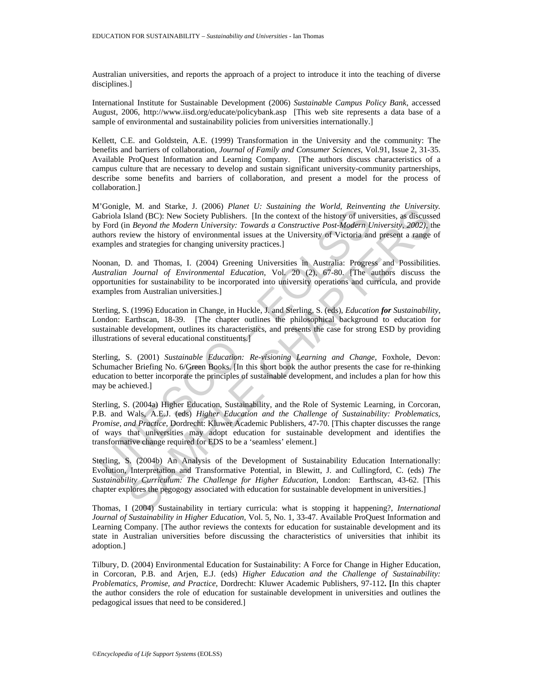Australian universities, and reports the approach of a project to introduce it into the teaching of diverse disciplines.]

International Institute for Sustainable Development (2006) *Sustainable Campus Policy Bank*, accessed August, 2006, http://www.iisd.org/educate/policybank.asp [This web site represents a data base of a sample of environmental and sustainability policies from universities internationally.]

Kellett, C.E. and Goldstein, A.E. (1999) Transformation in the University and the community: The benefits and barriers of collaboration, *Journal of Family and Consumer Sciences*, Vol.91, Issue 2, 31-35. Available ProQuest Information and Learning Company. [The authors discuss characteristics of a campus culture that are necessary to develop and sustain significant university-community partnerships, describe some benefits and barriers of collaboration, and present a model for the process of collaboration.]

M'Gonigle, M. and Starke, J. (2006) *Planet U: Sustaining the World, Reinventing the University.* Gabriola Island (BC): New Society Publishers. [In the context of the history of universities, as discussed by Ford (in *Beyond the Modern University: Towards a Constructive Post-Modern University, 2002)*, the authors review the history of environmental issues at the University of Victoria and present a range of examples and strategies for changing university practices.]

Noonan, D. and Thomas, I. (2004) Greening Universities in Australia: Progress and Possibilities. *Australian Journal of Environmental Education*, Vol. 20 (2), 67-80. [The authors discuss the opportunities for sustainability to be incorporated into university operations and curricula, and provide examples from Australian universities.]

Sterling, S. (1996) Education in Change, in Huckle, J. and Sterling, S. (eds), *Education for Sustainability*, London: Earthscan, 18-39. [The chapter outlines the philosophical background to education for sustainable development, outlines its characteristics, and presents the case for strong ESD by providing illustrations of several educational constituents.]

Sterling, S. (2001) *Sustainable Education: Re-visioning Learning and Change*, Foxhole, Devon: Schumacher Briefing No. 6/Green Books. [In this short book the author presents the case for re-thinking education to better incorporate the principles of sustainable development, and includes a plan for how this may be achieved.]

Unique, w.r. and Status (3.1. (2001) *runei C.* Sussuming the worter.<br>
abriola Island (BC): New Society Publishers. [In the context of the history of university Ford (in *Beyond the Modern University: Towards a Constructiv* by. At and States J. (2006) Prame V. Statemany are word, Remembrug ine towerstiles, as discusses and AGC): New Society Publishers. [In the context of the history of universities, as discusses and  $B_0$ context  $B_0$  and  $B$ Sterling, S. (2004a) Higher Education, Sustainability, and the Role of Systemic Learning, in Corcoran, P.B. and Wals, A.E.J. (eds) *Higher Education and the Challenge of Sustainability: Problematics, Promise, and Practice*, Dordrecht: Kluwer Academic Publishers, 47-70. [This chapter discusses the range of ways that universities may adopt education for sustainable development and identifies the transformative change required for EDS to be a 'seamless' element.]

Sterling, S. (2004b) An Analysis of the Development of Sustainability Education Internationally: Evolution, Interpretation and Transformative Potential, in Blewitt, J. and Cullingford, C. (eds) *The Sustainability Curriculum: The Challenge for Higher Education*, London: Earthscan, 43-62. [This chapter explores the pegogogy associated with education for sustainable development in universities.]

Thomas, I (2004) Sustainability in tertiary curricula: what is stopping it happening?, *International Journal of Sustainability in Higher Education,* Vol. 5, No. 1, 33-47. Available ProQuest Information and Learning Company. [The author reviews the contexts for education for sustainable development and its state in Australian universities before discussing the characteristics of universities that inhibit its adoption.]

Tilbury, D. (2004) Environmental Education for Sustainability: A Force for Change in Higher Education, in Corcoran, P.B. and Arjen, E.J. (eds) *Higher Education and the Challenge of Sustainability: Problematics, Promise, and Practice*, Dordrecht: Kluwer Academic Publishers, 97-112**. [**In this chapter the author considers the role of education for sustainable development in universities and outlines the pedagogical issues that need to be considered.]